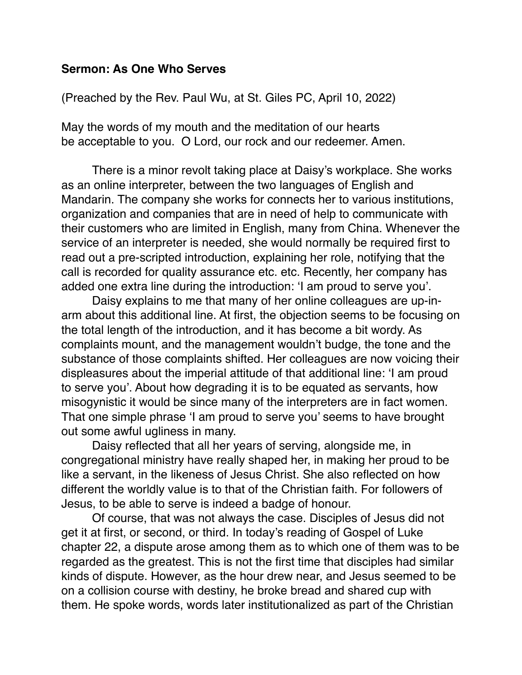## **Sermon: As One Who Serves**

(Preached by the Rev. Paul Wu, at St. Giles PC, April 10, 2022)

May the words of my mouth and the meditation of our hearts be acceptable to you. O Lord, our rock and our redeemer. Amen.

There is a minor revolt taking place at Daisy's workplace. She works as an online interpreter, between the two languages of English and Mandarin. The company she works for connects her to various institutions, organization and companies that are in need of help to communicate with their customers who are limited in English, many from China. Whenever the service of an interpreter is needed, she would normally be required first to read out a pre-scripted introduction, explaining her role, notifying that the call is recorded for quality assurance etc. etc. Recently, her company has added one extra line during the introduction: 'I am proud to serve you'.

Daisy explains to me that many of her online colleagues are up-inarm about this additional line. At first, the objection seems to be focusing on the total length of the introduction, and it has become a bit wordy. As complaints mount, and the management wouldn't budge, the tone and the substance of those complaints shifted. Her colleagues are now voicing their displeasures about the imperial attitude of that additional line: 'I am proud to serve you'. About how degrading it is to be equated as servants, how misogynistic it would be since many of the interpreters are in fact women. That one simple phrase 'I am proud to serve you' seems to have brought out some awful ugliness in many.

Daisy reflected that all her years of serving, alongside me, in congregational ministry have really shaped her, in making her proud to be like a servant, in the likeness of Jesus Christ. She also reflected on how different the worldly value is to that of the Christian faith. For followers of Jesus, to be able to serve is indeed a badge of honour.

Of course, that was not always the case. Disciples of Jesus did not get it at first, or second, or third. In today's reading of Gospel of Luke chapter 22, a dispute arose among them as to which one of them was to be regarded as the greatest. This is not the first time that disciples had similar kinds of dispute. However, as the hour drew near, and Jesus seemed to be on a collision course with destiny, he broke bread and shared cup with them. He spoke words, words later institutionalized as part of the Christian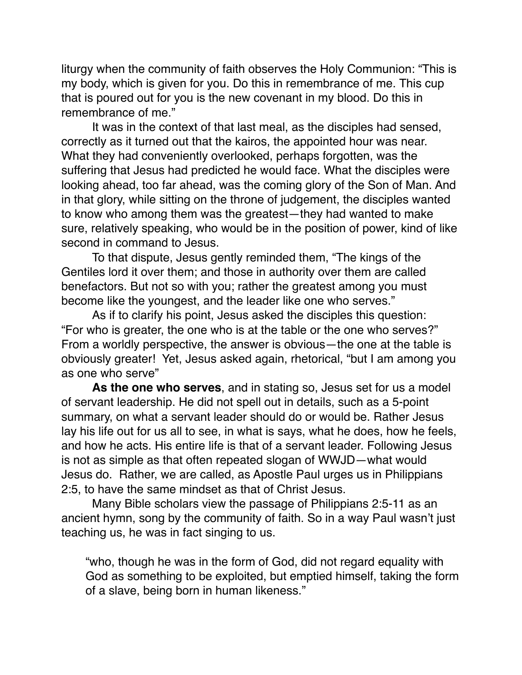liturgy when the community of faith observes the Holy Communion: "This is my body, which is given for you. Do this in remembrance of me. This cup that is poured out for you is the new covenant in my blood. Do this in remembrance of me."

It was in the context of that last meal, as the disciples had sensed, correctly as it turned out that the kairos, the appointed hour was near. What they had conveniently overlooked, perhaps forgotten, was the suffering that Jesus had predicted he would face. What the disciples were looking ahead, too far ahead, was the coming glory of the Son of Man. And in that glory, while sitting on the throne of judgement, the disciples wanted to know who among them was the greatest—they had wanted to make sure, relatively speaking, who would be in the position of power, kind of like second in command to Jesus.

To that dispute, Jesus gently reminded them, "The kings of the Gentiles lord it over them; and those in authority over them are called benefactors. But not so with you; rather the greatest among you must become like the youngest, and the leader like one who serves."

As if to clarify his point, Jesus asked the disciples this question: "For who is greater, the one who is at the table or the one who serves?" From a worldly perspective, the answer is obvious—the one at the table is obviously greater! Yet, Jesus asked again, rhetorical, "but I am among you as one who serve"

**As the one who serves**, and in stating so, Jesus set for us a model of servant leadership. He did not spell out in details, such as a 5-point summary, on what a servant leader should do or would be. Rather Jesus lay his life out for us all to see, in what is says, what he does, how he feels, and how he acts. His entire life is that of a servant leader. Following Jesus is not as simple as that often repeated slogan of WWJD—what would Jesus do. Rather, we are called, as Apostle Paul urges us in Philippians 2:5, to have the same mindset as that of Christ Jesus.

Many Bible scholars view the passage of Philippians 2:5-11 as an ancient hymn, song by the community of faith. So in a way Paul wasn't just teaching us, he was in fact singing to us.

"who, though he was in the form of God, did not regard equality with God as something to be exploited, but emptied himself, taking the form of a slave, being born in human likeness."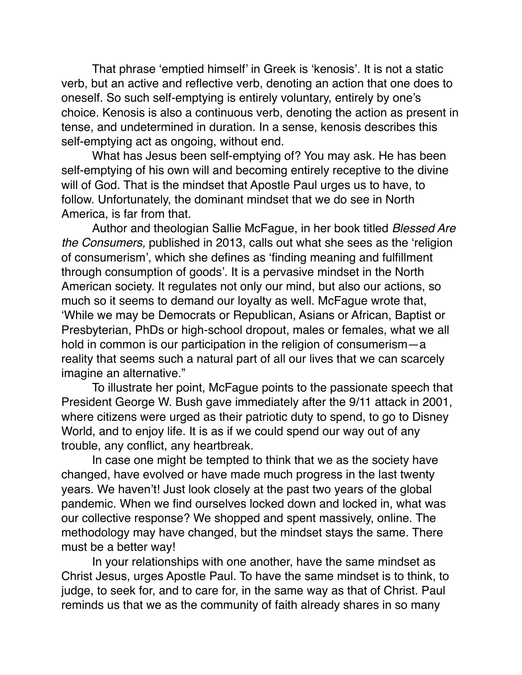That phrase 'emptied himself' in Greek is 'kenosis'. It is not a static verb, but an active and reflective verb, denoting an action that one does to oneself. So such self-emptying is entirely voluntary, entirely by one's choice. Kenosis is also a continuous verb, denoting the action as present in tense, and undetermined in duration. In a sense, kenosis describes this self-emptying act as ongoing, without end.

What has Jesus been self-emptying of? You may ask. He has been self-emptying of his own will and becoming entirely receptive to the divine will of God. That is the mindset that Apostle Paul urges us to have, to follow. Unfortunately, the dominant mindset that we do see in North America, is far from that.

Author and theologian Sallie McFague, in her book titled *Blessed Are the Consumers,* published in 2013, calls out what she sees as the 'religion of consumerism', which she defines as 'finding meaning and fulfillment through consumption of goods'. It is a pervasive mindset in the North American society. It regulates not only our mind, but also our actions, so much so it seems to demand our loyalty as well. McFaque wrote that, 'While we may be Democrats or Republican, Asians or African, Baptist or Presbyterian, PhDs or high-school dropout, males or females, what we all hold in common is our participation in the religion of consumerism—a reality that seems such a natural part of all our lives that we can scarcely imagine an alternative."

To illustrate her point, McFague points to the passionate speech that President George W. Bush gave immediately after the 9/11 attack in 2001, where citizens were urged as their patriotic duty to spend, to go to Disney World, and to enjoy life. It is as if we could spend our way out of any trouble, any conflict, any heartbreak.

In case one might be tempted to think that we as the society have changed, have evolved or have made much progress in the last twenty years. We haven't! Just look closely at the past two years of the global pandemic. When we find ourselves locked down and locked in, what was our collective response? We shopped and spent massively, online. The methodology may have changed, but the mindset stays the same. There must be a better way!

In your relationships with one another, have the same mindset as Christ Jesus, urges Apostle Paul. To have the same mindset is to think, to judge, to seek for, and to care for, in the same way as that of Christ. Paul reminds us that we as the community of faith already shares in so many